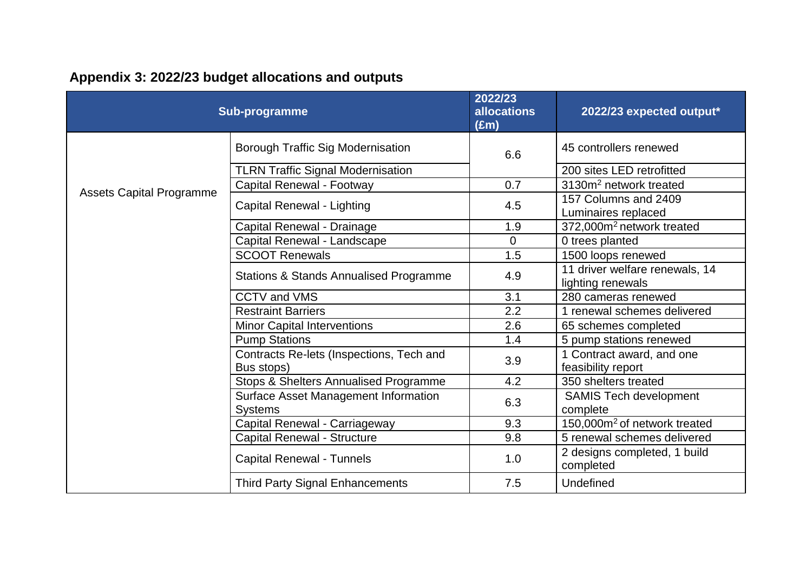| Sub-programme                   |                                                        | 2022/23<br><b>allocations</b><br>$(\text{Em})$ | 2022/23 expected output*                        |
|---------------------------------|--------------------------------------------------------|------------------------------------------------|-------------------------------------------------|
| <b>Assets Capital Programme</b> | <b>Borough Traffic Sig Modernisation</b>               | 6.6                                            | 45 controllers renewed                          |
|                                 | <b>TLRN Traffic Signal Modernisation</b>               |                                                | 200 sites LED retrofitted                       |
|                                 | Capital Renewal - Footway                              | 0.7                                            | 3130m <sup>2</sup> network treated              |
|                                 | Capital Renewal - Lighting                             | 4.5                                            | 157 Columns and 2409<br>Luminaires replaced     |
|                                 | Capital Renewal - Drainage                             | 1.9                                            | 372,000m <sup>2</sup> network treated           |
|                                 | Capital Renewal - Landscape                            | $\mathbf 0$                                    | 0 trees planted                                 |
|                                 | <b>SCOOT Renewals</b>                                  | 1.5                                            | 1500 loops renewed                              |
|                                 | <b>Stations &amp; Stands Annualised Programme</b>      | 4.9                                            | 11 driver welfare renewals, 14                  |
|                                 | <b>CCTV and VMS</b>                                    | 3.1                                            | lighting renewals<br>280 cameras renewed        |
|                                 | <b>Restraint Barriers</b>                              | 2.2                                            | 1 renewal schemes delivered                     |
|                                 | <b>Minor Capital Interventions</b>                     | 2.6                                            | 65 schemes completed                            |
|                                 | <b>Pump Stations</b>                                   | 1.4                                            | 5 pump stations renewed                         |
|                                 | Contracts Re-lets (Inspections, Tech and<br>Bus stops) | 3.9                                            | 1 Contract award, and one<br>feasibility report |
|                                 | Stops & Shelters Annualised Programme                  | 4.2                                            | 350 shelters treated                            |
|                                 | Surface Asset Management Information<br><b>Systems</b> | 6.3                                            | <b>SAMIS Tech development</b><br>complete       |
|                                 | Capital Renewal - Carriageway                          | 9.3                                            | 150,000m <sup>2</sup> of network treated        |
|                                 | Capital Renewal - Structure                            | 9.8                                            | 5 renewal schemes delivered                     |
|                                 | <b>Capital Renewal - Tunnels</b>                       | 1.0                                            | 2 designs completed, 1 build<br>completed       |
|                                 | <b>Third Party Signal Enhancements</b>                 | 7.5                                            | Undefined                                       |

## **Appendix 3: 2022/23 budget allocations and outputs**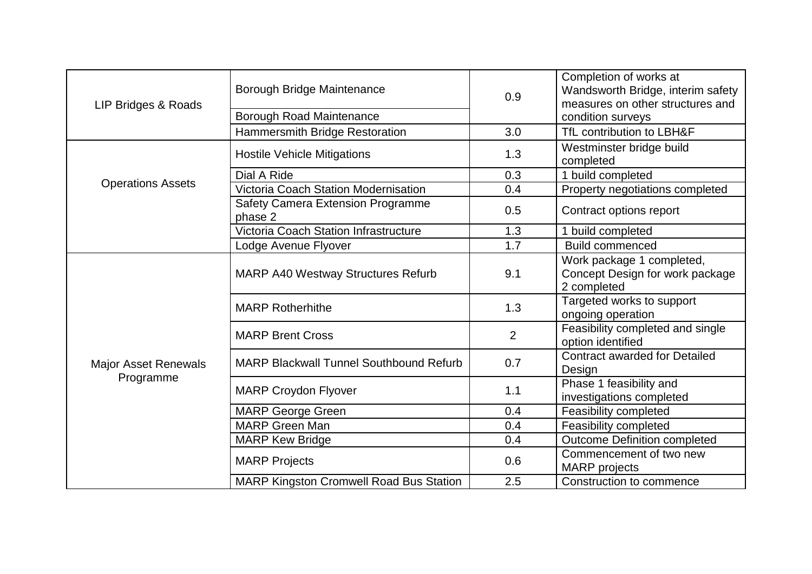| LIP Bridges & Roads                      | Borough Bridge Maintenance<br>Borough Road Maintenance | 0.9            | Completion of works at<br>Wandsworth Bridge, interim safety<br>measures on other structures and<br>condition surveys |
|------------------------------------------|--------------------------------------------------------|----------------|----------------------------------------------------------------------------------------------------------------------|
|                                          | Hammersmith Bridge Restoration                         | 3.0            | TfL contribution to LBH&F                                                                                            |
| <b>Operations Assets</b>                 | <b>Hostile Vehicle Mitigations</b>                     | 1.3            | Westminster bridge build<br>completed                                                                                |
|                                          | Dial A Ride                                            | 0.3            | 1 build completed                                                                                                    |
|                                          | Victoria Coach Station Modernisation                   | 0.4            | Property negotiations completed                                                                                      |
|                                          | Safety Camera Extension Programme<br>phase 2           | 0.5            | Contract options report                                                                                              |
|                                          | Victoria Coach Station Infrastructure                  | 1.3            | 1 build completed                                                                                                    |
|                                          | Lodge Avenue Flyover                                   | 1.7            | <b>Build commenced</b>                                                                                               |
| <b>Major Asset Renewals</b><br>Programme | <b>MARP A40 Westway Structures Refurb</b>              | 9.1            | Work package 1 completed,<br>Concept Design for work package<br>2 completed                                          |
|                                          | <b>MARP Rotherhithe</b>                                | 1.3            | Targeted works to support<br>ongoing operation                                                                       |
|                                          | <b>MARP Brent Cross</b>                                | $\overline{2}$ | Feasibility completed and single<br>option identified                                                                |
|                                          | <b>MARP Blackwall Tunnel Southbound Refurb</b>         | 0.7            | <b>Contract awarded for Detailed</b><br>Design                                                                       |
|                                          | <b>MARP Croydon Flyover</b>                            | 1.1            | Phase 1 feasibility and<br>investigations completed                                                                  |
|                                          | <b>MARP George Green</b>                               | 0.4            | Feasibility completed                                                                                                |
|                                          | <b>MARP Green Man</b>                                  | 0.4            | Feasibility completed                                                                                                |
|                                          | <b>MARP Kew Bridge</b>                                 | 0.4            | <b>Outcome Definition completed</b>                                                                                  |
|                                          | <b>MARP Projects</b>                                   | 0.6            | Commencement of two new<br><b>MARP</b> projects                                                                      |
|                                          | <b>MARP Kingston Cromwell Road Bus Station</b>         | 2.5            | Construction to commence                                                                                             |